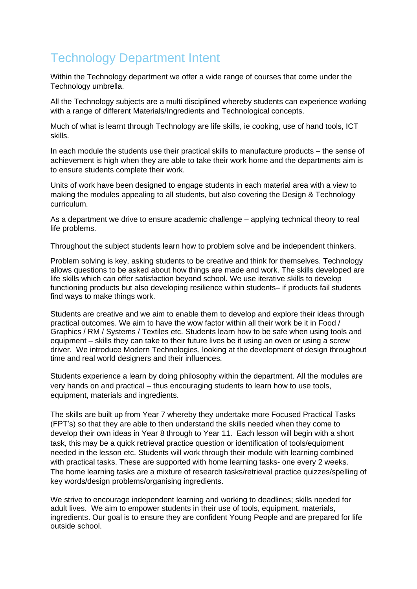# Technology Department Intent

Within the Technology department we offer a wide range of courses that come under the Technology umbrella.

All the Technology subjects are a multi disciplined whereby students can experience working with a range of different Materials/Ingredients and Technological concepts.

Much of what is learnt through Technology are life skills, ie cooking, use of hand tools, ICT skills.

In each module the students use their practical skills to manufacture products – the sense of achievement is high when they are able to take their work home and the departments aim is to ensure students complete their work.

Units of work have been designed to engage students in each material area with a view to making the modules appealing to all students, but also covering the Design & Technology curriculum.

As a department we drive to ensure academic challenge – applying technical theory to real life problems.

Throughout the subject students learn how to problem solve and be independent thinkers.

Problem solving is key, asking students to be creative and think for themselves. Technology allows questions to be asked about how things are made and work. The skills developed are life skills which can offer satisfaction beyond school. We use iterative skills to develop functioning products but also developing resilience within students– if products fail students find ways to make things work.

Students are creative and we aim to enable them to develop and explore their ideas through practical outcomes. We aim to have the wow factor within all their work be it in Food / Graphics / RM / Systems / Textiles etc. Students learn how to be safe when using tools and equipment – skills they can take to their future lives be it using an oven or using a screw driver. We introduce Modern Technologies, looking at the development of design throughout time and real world designers and their influences.

Students experience a learn by doing philosophy within the department. All the modules are very hands on and practical – thus encouraging students to learn how to use tools, equipment, materials and ingredients.

The skills are built up from Year 7 whereby they undertake more Focused Practical Tasks (FPT's) so that they are able to then understand the skills needed when they come to develop their own ideas in Year 8 through to Year 11. Each lesson will begin with a short task, this may be a quick retrieval practice question or identification of tools/equipment needed in the lesson etc. Students will work through their module with learning combined with practical tasks. These are supported with home learning tasks- one every 2 weeks. The home learning tasks are a mixture of research tasks/retrieval practice quizzes/spelling of key words/design problems/organising ingredients.

We strive to encourage independent learning and working to deadlines; skills needed for adult lives. We aim to empower students in their use of tools, equipment, materials, ingredients. Our goal is to ensure they are confident Young People and are prepared for life outside school.